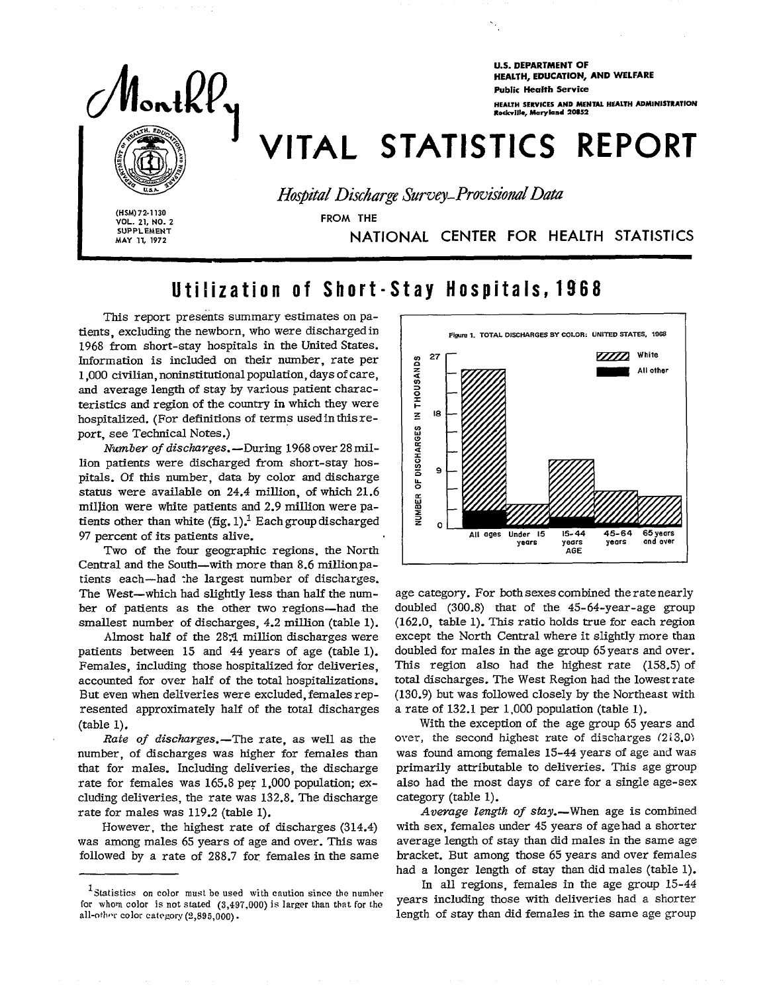

**U.S. DEPARTMENT OF** HEALTH, EDUCATION, AND WELFARE **Public Health Service** 

HEALTH SERVICES AND MENTAL HEALTH ADMINISTRATION Rockville, Maryland 20852

# VITAL STATISTICS REPORT

Hospital Discharge Survey-Provisional Data

(HSM) 72-1130 VOL. 21, NO. 2 **SUPPLEMENT** MAY 11, 1972

FROM THE

NATIONAL CENTER FOR HEALTH STATISTICS

## Utilization of Short-Stay Hospitals, 1968

This report presents summary estimates on patients, excluding the newborn, who were discharged in 1968 from short-stay hospitals in the United States. Information is included on their number, rate per 1,000 civilian, noninstitutional population, days of care. and average length of stay by various patient characteristics and region of the country in which they were hospitalized. (For definitions of terms used in this report, see Technical Notes.)

Number of discharges. - During 1968 over 28 million patients were discharged from short-stay hospitals. Of this number, data by color and discharge status were available on 24.4 million, of which 21.6 million were white patients and 2.9 million were patients other than white  $(fig, 1)$ .<sup>1</sup> Each group discharged 97 percent of its patients alive.

Two of the four geographic regions, the North Central and the South—with more than 8.6 million patients each-had the largest number of discharges. The West-which had slightly less than half the number of patients as the other two regions-had the smallest number of discharges, 4.2 million (table 1).

Almost half of the 28.1 million discharges were patients between 15 and 44 years of age (table 1). Females, including those hospitalized for deliveries. accounted for over half of the total hospitalizations. But even when deliveries were excluded, females represented approximately half of the total discharges  $(table 1)$ .

Rate of discharges.-The rate, as well as the number, of discharges was higher for females than that for males. Including deliveries, the discharge rate for females was 165.8 per 1,000 population; excluding deliveries, the rate was 132.8. The discharge rate for males was 119.2 (table 1).

However, the highest rate of discharges (314.4) was among males 65 years of age and over. This was followed by a rate of 288.7 for females in the same



age category. For both sexes combined the rate nearly doubled (300.8) that of the 45-64-year-age group (162.0, table 1). This ratio holds true for each region except the North Central where it slightly more than doubled for males in the age group 65 years and over. This region also had the highest rate  $(158.5)$  of total discharges. The West Region had the lowest rate (130.9) but was followed closely by the Northeast with a rate of 132.1 per 1,000 population (table 1).

With the exception of the age group 65 years and over, the second highest rate of discharges (213.0) was found among females 15-44 years of age and was primarily attributable to deliveries. This age group also had the most days of care for a single age-sex category (table 1).

Average length of stay.-When age is combined with sex, females under 45 years of age had a shorter average length of stay than did males in the same age bracket. But among those 65 years and over females had a longer length of stay than did males (table 1).

In all regions, females in the age group 15-44 years including those with deliveries had a shorter length of stay than did females in the same age group

<sup>&</sup>lt;sup>1</sup>Statistics on color must be used with caution since the number for whom color is not stated  $(3,497,000)$  is larger than that for the all-other color category (2,895,000).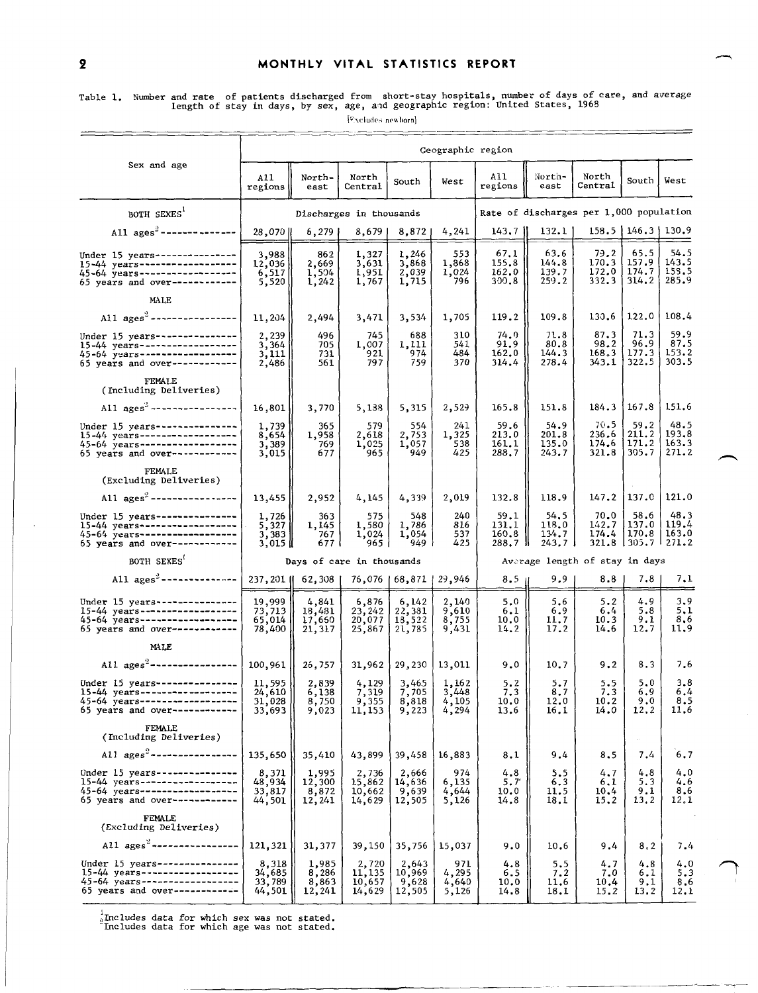[Excludes newborn]

|                                                                                                                                    | Geographic region                                                   |                                          |                                         |                                            |                                  |                                         |                                              |                                 |                                             |                                 |  |
|------------------------------------------------------------------------------------------------------------------------------------|---------------------------------------------------------------------|------------------------------------------|-----------------------------------------|--------------------------------------------|----------------------------------|-----------------------------------------|----------------------------------------------|---------------------------------|---------------------------------------------|---------------------------------|--|
| Sex and age                                                                                                                        | A11<br>regions                                                      | North-<br>east                           | North<br>Central                        | South                                      | West                             | A11<br>regions                          | North-<br>east                               | North<br>Central                | South                                       | West                            |  |
| BOTH SEXES <sup>1</sup>                                                                                                            |                                                                     | Discharges in thousands                  |                                         |                                            |                                  | Rate of discharges per 1,000 population |                                              |                                 |                                             |                                 |  |
| All $\text{ages}^2$ ---------------                                                                                                | 28,070                                                              | 6,279                                    | 8,679                                   | $8,872$                                    | 4,241                            | 143.7                                   | 132.1                                        |                                 | $158.5$   146.3   130.9                     |                                 |  |
| Under 15 years --------------<br>15-44 years-------------------<br>45-64 years------------------<br>65 years and over------------- | 3,988<br>12,036<br>$\begin{bmatrix} 6, 517 \\ 5, 520 \end{bmatrix}$ | 862<br>2,669<br>1,504<br>1,242           | 1,327<br>$\frac{3,631}{1,951}$<br>1,767 | 1,246<br>3,868<br>2,039<br>1,715           | 553<br>1,868<br>1,024<br>796     | 67.1<br>155.8<br>162.0<br>300.8         | 63.6<br>144.8<br>139.7<br>259.2              | 79.2<br>170.3<br>172.0<br>332.3 | 65.5<br>157.9<br>174.7<br>314.2             | 54.5<br>143.5<br>158.5<br>285.9 |  |
| MALE                                                                                                                               |                                                                     |                                          |                                         |                                            |                                  |                                         |                                              |                                 |                                             |                                 |  |
| All $\text{ages}^3$ -----------------                                                                                              | 11,204                                                              | 2,494                                    | 3,471                                   | 3,534                                      | 1,705                            | 119.2                                   | 109.8                                        | 130.6                           | 122.0                                       | 108.4                           |  |
| Under 15 years----------------<br>15-44 years------------------<br>45-64 years-------------------<br>65 years and over------------ | 2,239<br>$\frac{3}{3}$ , 364<br>3, 111<br>2,486                     | 496<br>705<br>731<br>561                 | 745<br>1,007<br>921<br>797              | 688<br>1,111<br>974<br>759                 | 310<br>541<br>484<br>370         | 74.0<br>91.9<br>162.0<br>314.4          | 71.8<br>80.8<br>144.3<br>278.4               | 87.3<br>98.2<br>168.3<br>343.1  | 71.3<br>96.9<br>177.3<br>322.5              | 59.9<br>87.5<br>153.2<br>303.5  |  |
| FEMALE<br>(Including Deliveries)                                                                                                   |                                                                     |                                          |                                         |                                            |                                  |                                         |                                              |                                 |                                             |                                 |  |
| All $\text{ages}^2$ ----------------                                                                                               | 16,801                                                              | 3,770                                    | 5,138                                   | 5,315                                      | 2,529                            | 165.8                                   | 151.8                                        | 184.3                           | 167.8                                       | 151.6                           |  |
| Under 15 years---------------<br>15-44 years------------------<br>45-64 years------------------<br>65 years and over------------   | 1,739<br>8,654<br>3,389<br>3,015                                    | 365<br>1,958<br>769<br>677               | 579<br>2,618<br>1,025<br>965            | $554$<br>2,753<br>1,057<br>949             | 241<br>1,325<br>538<br>425       | 59.6<br>213.0<br>161.1<br>288.7         | 54.9<br>201.8<br>135.0<br>243.7              | 70.5<br>236.6<br>174.6<br>321.8 | 59.2<br>211.2<br>171.2<br>305.7             | 48.5<br>193.8<br>163.3<br>271.2 |  |
| <b>FEMALE</b><br>(Excluding Deliveries)                                                                                            |                                                                     |                                          |                                         |                                            |                                  |                                         |                                              |                                 |                                             |                                 |  |
| All $\text{ages}^2$ ----------------                                                                                               | 13,455                                                              | 2,952                                    | 4,145                                   | 4,339                                      | 2,019                            | 132.8                                   | 118.9                                        |                                 | $147.2$   137.0                             | 121.0                           |  |
| Under 15 years----------------<br>15-44 years------------------<br>45-64 years-----------------<br>65 years and over------------   | 1,726<br>$\begin{bmatrix} 5,327 \\ 3,383 \\ 3,015 \end{bmatrix}$    | 363<br>1,145<br>767<br>6771              | 575<br>1,580<br>1,024<br>965            | 548<br>1,786<br>1,054<br>949 i             | 240<br>816<br>537<br>425         | 59.1<br>131.1<br>160.8<br>288.7         | 54.5<br>118,0<br>134.7<br>$243.7 \downarrow$ | 70.0<br>142.7<br>$174.4$        | 58.6<br>137.0<br>170.8<br>321.8 305.7 271.2 | 48.3<br>119.4<br>163.0          |  |
| BOTH SEXES <sup>?</sup>                                                                                                            |                                                                     |                                          | Days of care in thousands               |                                            |                                  |                                         |                                              | Average length of stay in days  |                                             |                                 |  |
| All $\text{ages}^2$ --------------                                                                                                 |                                                                     | 237,201    62,308                        |                                         | 76,076   68,871   29,946                   |                                  | 8.5 <sub>1</sub>                        | 9.9                                          | 8.8                             | 7.8                                         | 7.1                             |  |
| Under 15 years---------------<br>15-44 years------------------<br>45-64 years------------------<br>65 years and over-------------  | 19,999<br>73,713<br>65,014<br>78,400                                | 4,841<br>18,481<br>17,650<br>21,317      | 6,876<br>23, 242<br>20,077<br>25,867    | $\frac{6,142}{22,381}$<br>13,522<br>21,785 | 2,140<br>9,610<br>8,755<br>9,431 | 5,0<br>6.1<br>10.0<br>14.2              | 5,6<br>6.9<br>11.7<br>17.2                   | 5.2<br>6.4<br>10.3<br>14.6      | 4.9<br>5.8<br>9.1<br>12.7                   | 3,9<br>5.1<br>8,6<br>11.9       |  |
| MALE                                                                                                                               |                                                                     |                                          |                                         |                                            |                                  |                                         |                                              |                                 |                                             |                                 |  |
| All ages <sup>2</sup> -----------------                                                                                            | 100,961                                                             | 26,757                                   |                                         | $31,962$   29,230                          | 13,011                           | 9.0                                     | 10.7                                         | 9.2                             | 8.3                                         | 7.6                             |  |
| Under 15 years----------------<br>15-44 years------------------<br>45-64 years------------------<br>65 years and over------------  | 11,595<br>24,610<br>31,028<br>33,693                                | 2,839<br>6,138<br>8,750<br>9,023         | 4, 129<br>7, 319<br>9, 355<br>11,153    | 3,465<br>7,705<br>8,818<br>9,223           | 1,162<br>3,448<br>4,105<br>4,294 | 5.2<br>7.3<br>10.0<br>13.6              | 5.7<br>8.7<br>12.0<br>16,1                   | 5.5<br>7.3<br>10.2<br>14.0      | 5.0<br>6.9<br>9,0<br>12.2                   | 3.8<br>6,4<br>8.5<br>11.6       |  |
| FEMALE<br>(Including Deliveries)                                                                                                   |                                                                     |                                          |                                         |                                            |                                  |                                         |                                              |                                 |                                             |                                 |  |
| All $\text{ages}^2$ ----------------                                                                                               | 135,650                                                             | 35,410                                   | 43,899                                  | 39,458                                     | 16,883                           | 8,1                                     | 9.4                                          | 8.5                             | 7.4                                         | 6,7                             |  |
| Under 15 years---------------<br>15-44 years------------------<br>45-64 years ------------------<br>65 years and over------------  | $8,371$<br>$48,934$<br>$33,817$<br>44,501                           | $1,995$<br>$12,300$<br>$8,872$<br>12,241 | $2,736$<br>15,862<br>10,662<br>14,629   | 2,666<br>14,636<br>9,639<br>12,505         | 974<br>6,135<br>4,644<br>5,126   | 4.8<br>5.7<br>10.0<br>14.8              | 5,5<br>6.3<br>11.5<br>18.1                   | 4.7<br>6.1<br>10,4<br>15,2      | 4.8<br>5.3<br>9.1<br>13.2                   | 4.0<br>4.6<br>8.6<br>12.1       |  |
| FEMALE<br>(Excluding Deliveries)                                                                                                   |                                                                     |                                          |                                         |                                            |                                  |                                         |                                              |                                 |                                             |                                 |  |
| All $\text{ages}^2$ -----------------                                                                                              | 121,321                                                             | 31,377                                   | 39,150                                  | 35,756                                     | 15,037                           | 9.0                                     | 10.6                                         | 9.4                             | 8.2                                         | 7.4                             |  |
| Under 15 years---------------<br>$15-44$ years------------------<br>45-64 years------------------<br>65 years and over------------ | 8,318<br>34,685<br>33,789<br>44,501                                 | 1,985<br>8,286<br>8,863<br>12,241        | 2,720<br>11,135<br>10,657<br>14,629     | $2,643$<br>10,969<br>9,628<br>12,505       | 971<br>4, 295<br>4,640<br>5,126  | 4.8<br>6.5<br>10.0<br>14.8              | 5.5<br>7.2<br>11.6<br>18.1                   | 4.7<br>7.0<br>10.4<br>15.2      | 4.8<br>6.1<br>9.1<br>13.2                   | 4.0<br>5.3<br>8.6<br>12.1       |  |

—-— .

 $_{2}^{\rm 3}$ Includes data for which sex was not stated.<br>"Includes data for which age was not stated.

 $\equiv$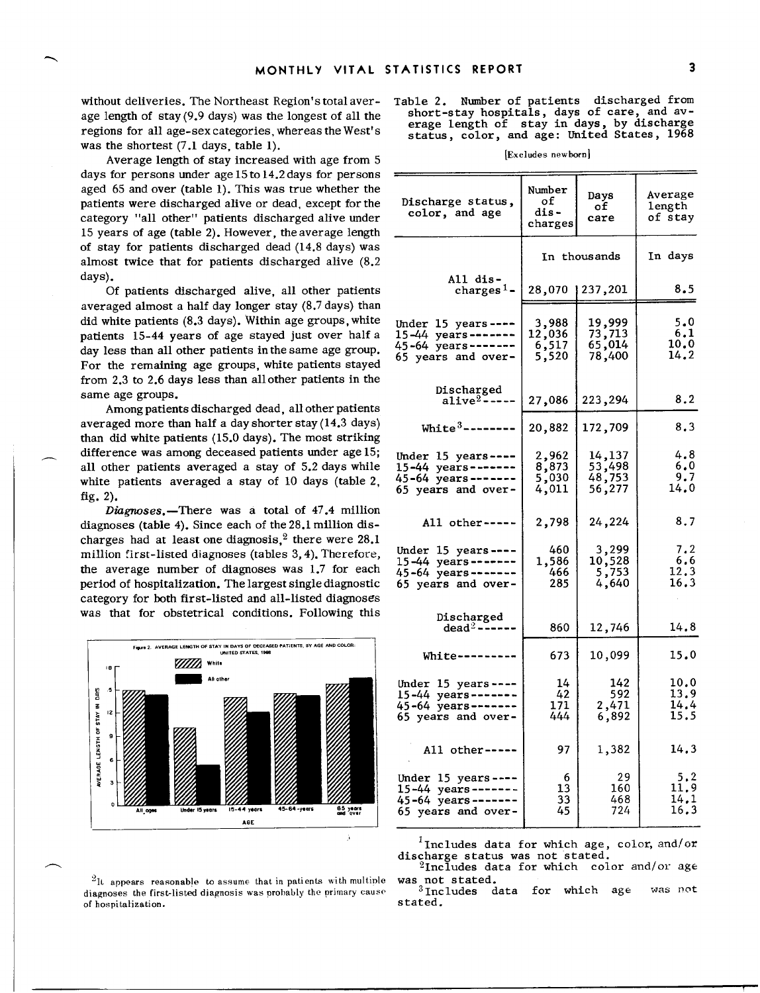without deliveries. The Northeast Region'stotal average length of stay(9.9 days) was the longest of all the regions for all age-sexcategories, whereas theWest's was the shortest  $(7.1$  days, table 1).

Average length of stay increased with age from5 days for persons under age  $15 \text{ to } 14.2$  days for persons aged 65 andover (table 1). This was true whether the patients were discharged alive or dead, except forthe category "all other" patients discharged alive under 15 years of age (table 2). However, the average length of stay for patients discharged dead (14.8 days) was almost twice that for patients discharged alive (8.2 days).

Of patients discharged alive, all other patients averaged almost a half day longer stay (8.7 days) than did white patients  $(8.3 \text{ days})$ . Within age groups, white patients 15-44 years of age stayed just over half a day less than all other patients in the same age group. For the remaining age groups, white patients stayed from  $2.3$  to  $2.6$  days less than all other patients in the same age groups.

Among patients discharged dead, all other patients averaged more than half a day shorter stay  $(14.3 \text{ days})$ than did white patients (15.0 days). The most striking difference was among deceased patients under age 15; all other patients averaged a stay of 5.2 days while white patients averaged a stay of 10 days (table 2, fig. 2).

*Diagnoses.*-There was a total of 47.4 million diagnoses (table 4). Since each of the 28.1 million discharges had at least one diagnosis, $2$  there were 28.1 million first-listed diagnoses (tables 3,4). Therefore, the average number of diagnoses was 1.7 for each period of hospitalization. The largest single diagnostic category for both first-listed and all-listed diagnoses was that for obstetrical conditions. Following this



<sup>2</sup>It appears reasonable to assume that in patients with multiple diagnoses the first-listed diagnosis was probably the primary cause of hospitalization.

— !

**Table 2. Number** of patients discharged from short-stay hospitals, days of care, and average length of stay in days, by discharg status, **color,** and age: United States, 1968

[Excludes newborn]

| Discharge status,<br>color, and age                                                              | Number<br>οf<br>dis-<br>charges      | Days<br>οf<br>care                   | Average<br>length<br>of stay |
|--------------------------------------------------------------------------------------------------|--------------------------------------|--------------------------------------|------------------------------|
|                                                                                                  |                                      | In thous ands                        | In days                      |
| All dis-<br>charges <sup>1</sup> –                                                               |                                      | 28,070   237,201                     | 8.5                          |
| Under 15 years----<br>15-44 years-------<br>45-64 years-------<br>65 years and over-             | 3,988<br>12,036<br>$6, 517$<br>5,520 | 19,999<br>73,713<br>65,014<br>78,400 | 5.0<br>6,1<br>10.0<br>14.2   |
| Discharged<br>alive $^2$ --                                                                      | 27,086                               | 223,294                              | 8.2                          |
| White $3$ -------                                                                                | 20,882                               | 172,709                              | 8.3                          |
| Under 15 years----<br>15-44 years-------<br>45-64 years-------<br>65 years and over-             | 2,962<br>8,873<br>5,030<br>4,011     | 14,137<br>53,498<br>48,753<br>56,277 | 4.8<br>6.0<br>9.7<br>14.0    |
| All other---                                                                                     | 2,798                                | 24,224                               | 8.7                          |
| Under $15$ years----<br>$15-44$ years -------<br>45-64 years-------<br>65 years and over-        | 460<br>1,586<br>466<br>285           | 3,299<br>10,528<br>5,753<br>4,640    | 7.2<br>6.6<br>12.3<br>16.3   |
| Discharged<br>dead <sup>2</sup> ----                                                             | 860                                  | 12,746                               | 14.8                         |
| $White---$                                                                                       | 673                                  | 10,099                               | 15.0                         |
| Under $15$ years----<br>15-44 years-------<br>45-64 years-------<br>65 years and over-           | 14<br>42<br>171<br>444               | 142<br>592<br>2,471<br>6,892         | 10.0<br>13.9<br>14.4<br>15.5 |
| All other-----                                                                                   | 97                                   | 1,382                                | 14.3                         |
| Under $15$ years ----<br>$15 - 44$ years-------<br>$45 - 64$ years -------<br>65 years and over- | 6<br>13<br>33<br>45                  | 29<br>160<br>468<br>724              | 5.2<br>11, 9<br>14.1<br>16.3 |

 $<sup>1</sup>$  Includes data for which age, color, and/or</sup> discharge status was not stated.

 $2$ Includes data for which color and/or age

was not stated.<br> $^3$ Includes data for which age was not stated.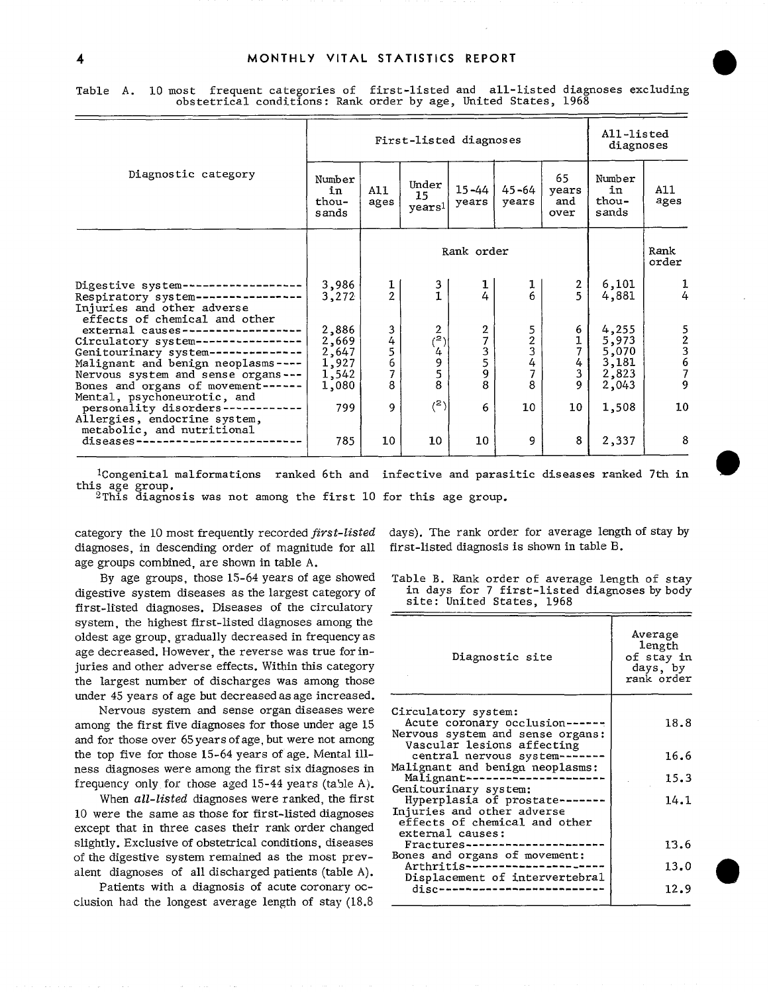|                                                                                                                                                                                                                    | First-listed diagnoses                             |                                   |                                                      |                                          |                            |                                   | All-listed<br>diagnoses                            |               |  |
|--------------------------------------------------------------------------------------------------------------------------------------------------------------------------------------------------------------------|----------------------------------------------------|-----------------------------------|------------------------------------------------------|------------------------------------------|----------------------------|-----------------------------------|----------------------------------------------------|---------------|--|
| Diagnostic category                                                                                                                                                                                                | Number<br>in<br>thou-<br>s ands                    | A11<br>ages                       | Under<br>15<br>years1                                | $15 - 44$<br>years                       | $45 - 64$<br>years         | 65<br>years<br>and<br>over        | Number<br>in<br>thou-<br>sands                     | A11<br>ages   |  |
|                                                                                                                                                                                                                    |                                                    |                                   |                                                      | Rank order                               |                            |                                   |                                                    | Rank<br>order |  |
| Digestive system--<br>Respiratory system ---<br>Injuries and other adverse<br>effects of chemical and other                                                                                                        | 3,986<br>3,272                                     | $\frac{1}{2}$                     | $\frac{3}{1}$                                        | $\frac{1}{4}$                            | 1<br>6                     | $\frac{2}{5}$                     | 6,101<br>4,881                                     | 4             |  |
| external causes----------<br>Circulatory system-------------<br>Genitourinary system ---------<br>Malignant and benign neoplasms ----<br>Nervous system and sense organs ---<br>Bones and organs of movement------ | 2,886<br>2,669<br>2,647<br>1,927<br>1,542<br>1,080 | 3<br>4<br>5<br>$\frac{6}{7}$<br>8 | $\mathbf{2}$<br>$\binom{2}{4}$<br>$\frac{9}{5}$<br>8 | $\frac{2}{7}$<br>$\frac{3}{5}$<br>9<br>8 | 5<br>2<br>3<br>4<br>7<br>8 | 6<br>$\frac{1}{7}$<br>4<br>3<br>9 | 4,255<br>5,973<br>5,070<br>3,181<br>2,823<br>2,043 | 52367<br>9    |  |
| Mental, psychoneurotic, and<br>personality disorders---------<br>Allergies, endocrine system,<br>metabolic, and nutritional                                                                                        | 799                                                | 9                                 | (2)                                                  | 6                                        | 10                         | 10                                | 1,508                                              | 10            |  |
| diseases-                                                                                                                                                                                                          | 785                                                | 10                                | 10                                                   | 10 <sup>°</sup>                          | 9                          | 8                                 | 2,337                                              | 8             |  |

Table A. 10 most frequent categories of first-listed and all-listed diagnoses excluding obstetrical conditions: Rank order by age, United States, 1968

<sup>1</sup>Congenital malformations ranked 6th and infective and parasitic diseases ranked 7th in this age group.

 $^2$ This diagnosis was not among the first  $10$  for this age group.

category the 10 most frequently recorded *first-list*e diagnoses, in descending order of magnitude for all age groups combined, are shown in table A.

By age groups, those 15-64 years of age showed digestive system diseasesas thelargestcategoryof first-listed diagnoses.Diseases of the circulatory system, the highest first-listed diagnoses among the oldest age group, gradually decreased in frequency as age decreased. However, the reverse was true for injuries and other adverse effects. Within this category the largest number of discharges was among those under 45 years of age but decreased as age increased.

Nervous system and sense organ diseases were among the first five diagnoses for those under age 15 and for those over 65 years of age, but were not among the top five for those  $15-64$  years of age. Mental illness diagnoses were among the first six diagnoses in frequency only for those aged 15-44 years (table A).

When *all-listed* diagnoses were ranked, the first 10 were the same as those for first-listed diagnoses except that in three cases their rank order changed slightly. Exclusive of obstetrical conditions, diseases of the digestive system remained as the most prevalent diagnoses of all discharged patients (table A).

Patients with a diagnosis of acute coronary occlusion had the longest average length of stay  $(18.8$  days). The rank order for average length of stay by first-listed diagnosis isshown intableB.

Table B. Rank order of average length of stay in days for 7 first-listed diagnoses by body<br>site: United States, 1968

| Diagnostic site                                                                                                       | Average<br>length<br>of stay in<br>days, by<br>rank order |  |
|-----------------------------------------------------------------------------------------------------------------------|-----------------------------------------------------------|--|
| Circulatory system:<br>Acute coronary occlusion------                                                                 | 18.8                                                      |  |
| Nervous system and sense organs:<br>Vascular lesions affecting<br>central nervous system -------                      | 16.6                                                      |  |
| Malignant and benign neoplasms:<br>Malignant---                                                                       | 15.3                                                      |  |
| Genitourinary system:<br>Hyperplasia of prostate -----<br>Injuries and other adverse<br>effects of chemical and other | 14.1                                                      |  |
| external causes:<br>Fractures-------------                                                                            | 13.6                                                      |  |
| Bones and organs of movement:<br>Arthritis----                                                                        | 13.0                                                      |  |
| Displacement of intervertebral<br>disc--                                                                              | 12.9                                                      |  |
|                                                                                                                       |                                                           |  |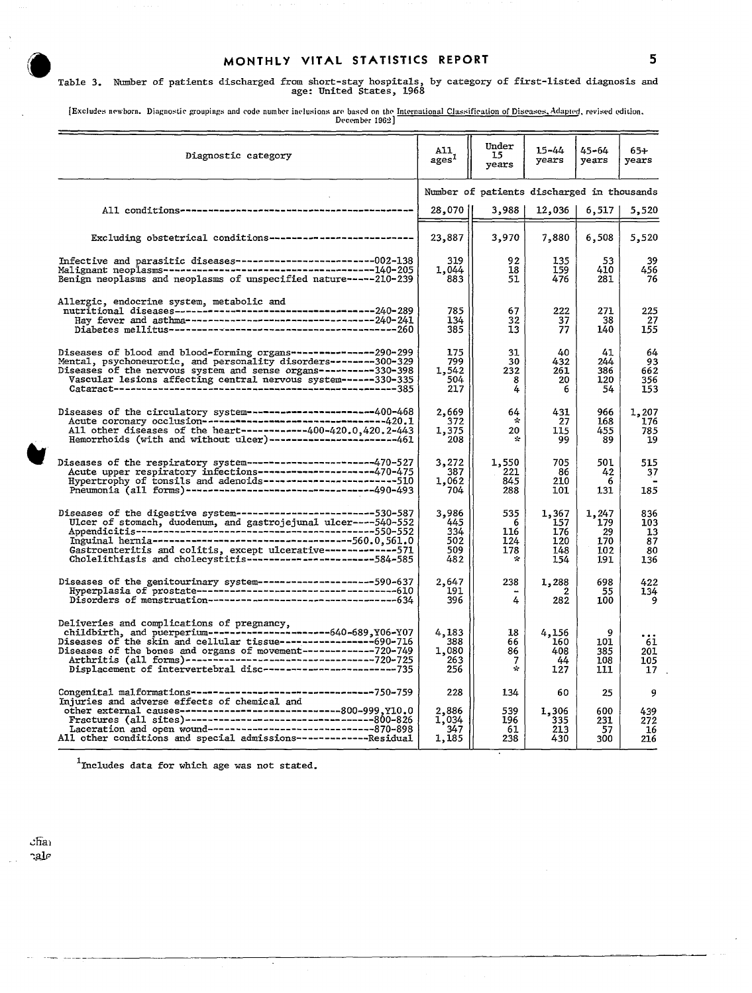**iii)** MONTHLY VITAL STATISTICS REPORT<br>
Table 3. Number of patients discharged from short-stay hospitals, by category of first-listed diagnosis and<br>
age: United States, 1968

[Excludes newborn. Diagnostic groupings and code number inclusions are based on the <u>International Classification of Diseases, Adapted,</u> revised edition. [Becomber 1962] December 1962]

| Diagnostic category                                                                                                                                                                                                                                                        | All.<br>ages <sup>1</sup>                | Under<br>15<br>vears                       | 15-44<br>years                           | 45–64<br>years                          | 65+<br>years                        |
|----------------------------------------------------------------------------------------------------------------------------------------------------------------------------------------------------------------------------------------------------------------------------|------------------------------------------|--------------------------------------------|------------------------------------------|-----------------------------------------|-------------------------------------|
|                                                                                                                                                                                                                                                                            |                                          | Number of patients discharged in thousands |                                          |                                         |                                     |
| All conditions--------------------------                                                                                                                                                                                                                                   | 28,070                                   | 3,988                                      | 12,036                                   | 6,517                                   | 5,520                               |
| Excluding obstetrical conditions---------------------------                                                                                                                                                                                                                | 23,887                                   | 3,970                                      | 7,880                                    | 6,508                                   | 5,520                               |
| Infective and parasitic diseases--------------------------002-138<br>Benign neoplasms and neoplasms of unspecified nature-----210-239                                                                                                                                      | 319<br>1,044<br>883                      | 92<br>18<br>51                             | 135<br>159<br>476                        | 53<br>410<br>281                        | 39<br>456<br>76                     |
| Allergic, endocrine system, metabolic and                                                                                                                                                                                                                                  | 785<br>134<br>385                        | 67<br>32<br>13                             | 222<br>37<br>77                          | 271<br>38<br>140                        | 225<br>27<br>155                    |
| Diseases of blood and blood-forming organs---------------290-299<br>Mental, psychoneurotic, and personality disorders--------300-329<br>Diseases of the nervous system and sense organs----------330-398<br>Vascular lesions affecting central nervous system------330-335 | 175<br>799<br>1,542<br>504<br>217        | 31<br>30<br>232<br>8<br>4                  | 40<br>432<br>261<br>20<br>6              | 41<br>244<br>386<br>120<br>54           | 64<br>93<br>662<br>356<br>153       |
| Diseases of the circulatory system-----------------------400-468<br>Acute coronary occlusion--------------------------------420.1<br>All other diseases of the heart------------400-420.0,420.2-443<br>Hemorrhoids (with and without ulcer)--------------------------461   | 2,669<br>372<br>1,375<br>208             | 64<br>÷<br>20<br>÷                         | 431<br>27<br>115<br>99                   | 966<br>168<br>455<br>89                 | 1,207<br>176<br>785<br>19           |
| Diseases of the respiratory system-----------------------470-527<br>Acute upper respiratory infections--------------------470-475<br>Hypertrophy of tonsils and adenoids--------------------------510<br>Pneumonia (all forms)--------------------------------490-493      | 3,272<br>387<br>1,062<br>704             | 1,550<br>221<br>845<br>288                 | 705<br>86<br>210<br>101                  | 50 L<br>42<br>6<br>131                  | 515<br>37<br>185                    |
| Diseases of the digestive system--------------------------530-587<br>Ulcer of stomach, duodenum, and gastrojejunal ulcer----540-552                                                                                                                                        | 3,986<br>445<br>334<br>502<br>509<br>482 | 535<br>6<br>116<br>124<br>178<br>÷         | 1,367<br>157<br>176<br>120<br>148<br>154 | 1,247<br>179<br>29<br>170<br>102<br>191 | 836<br>103<br>13<br>87<br>80<br>136 |
|                                                                                                                                                                                                                                                                            | 2,647<br>191<br>396                      | 238<br>4                                   | 1,288<br>2<br>282                        | 698<br>55<br>100                        | 422<br>134<br>9                     |
| Deliveries and complications of pregnancy,<br>childbirth, and puerperium-------------------------640-689, Y06-Y07<br>Displacement of intervertebral disc------------------------735                                                                                        | 4,183<br>388<br>1,080<br>263<br>256      | 18<br>66<br>86<br>7<br>$\mathcal{L}$       | 4,156<br>160<br>408<br>44<br>127         | 9<br>101<br>385<br>108<br>111           | 61<br>201<br>105<br>17              |
| Congenital malformations ----------------------------------750-759<br>Injuries and adverse effects of chemical and                                                                                                                                                         | 228                                      | 134                                        | 60                                       | 25                                      | 9                                   |
| All other conditions and special admissions--------------Residual                                                                                                                                                                                                          | 2,886<br>1,034<br>347<br>1,185           | 539<br>196<br>61<br>238                    | 1,306<br>335<br>213<br>430               | 600<br>231<br>57<br>300                 | 439<br>272<br>16<br>216             |

lIncludes data for which age was not stated.

 $c$ fia $\alpha$  $\mathcal{A}$ 

—.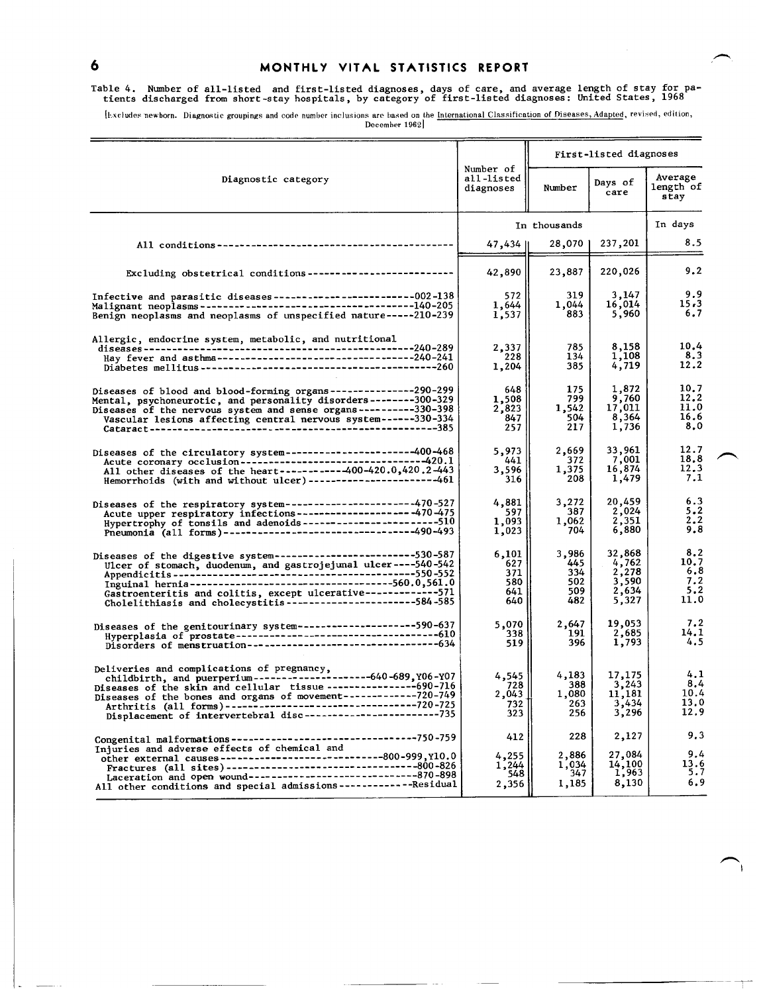$\ddot{\mathbf{6}}$ 

### MONTHLY VITAL STATISTICS REPORT

## Table 4. Number of all-listed and first-listed diagnoses, days of care, and average length of stay for pa-<br>tients discharged from short-stay hospitals, by category of first-listed diagnoses: United States, 1968

[Excludes newborn. Diagnostic groupings and code number inclusions are based on the International Classification of Diseases, Adapted, revised, edition,<br>December 1962]

|                                                                                                                                                                                                                                                                                                                      |                                          | First-listed diagnoses                   |                                                     |                                          |  |
|----------------------------------------------------------------------------------------------------------------------------------------------------------------------------------------------------------------------------------------------------------------------------------------------------------------------|------------------------------------------|------------------------------------------|-----------------------------------------------------|------------------------------------------|--|
| Diagnostic category                                                                                                                                                                                                                                                                                                  | Number of<br>all-listed<br>diagnoses     | Number                                   | Days of<br>care                                     | Average<br>length of<br>stay             |  |
|                                                                                                                                                                                                                                                                                                                      |                                          | In thousands                             |                                                     | In days                                  |  |
|                                                                                                                                                                                                                                                                                                                      | 47,434                                   | 28,070                                   | 237,201                                             | 8.5                                      |  |
| Excluding obstetrical conditions--------------------------                                                                                                                                                                                                                                                           | 42,890                                   | 23,887                                   | 220,026                                             | 9.2                                      |  |
| Infective and parasitic diseases---------------------------002-138<br>Benign neoplasms and neoplasms of unspecified nature-----210-239                                                                                                                                                                               | 572<br>1,644<br>1,537                    | 319<br>1,044<br>883                      | 3,147<br>16,014<br>5,960                            | 9.9<br>15.3<br>6.7                       |  |
| Allergic, endocrine system, metabolic, and nutritional                                                                                                                                                                                                                                                               | 2,337<br>228<br>1,204                    | 785<br>134<br>385                        | 8,158<br>1,108<br>4,719                             | 10.4<br>8.3<br>12.2                      |  |
| Diseases of blood and blood-forming organs---------------290-299<br>Mental, psychoneurotic, and personality disorders--------300-329<br>Diseases of the nervous system and sense organs----------330-398<br>Vascular lesions affecting central nervous system ------330-334                                          | 648<br>1,508<br>2,823<br>847<br>257      | 175<br>799<br>1,542<br>504<br>217        | 1,872<br>9,760<br>17,011<br>8,364<br>1,736          | 10.7<br>12.2<br>11.0<br>16.6<br>8.0      |  |
| Diseases of the circulatory system----------------------400-468<br>Acute coronary occlusion------------------------------420.1<br>All other diseases of the heart-----------400-420.0,420.2-443<br>Hemorrhoids (with and without ulcer)----------------------461                                                     | 5,973<br>441<br>3,596<br>316             | 2,669<br>372<br>1,375<br>208             | 33,961<br>7,001<br>16,874<br>1,479                  | 12.7<br>18.8<br>12.3<br>7.1              |  |
| Diseases of the respiratory system----------------------470-527<br>Acute upper respiratory infections-------------------- - 470-475<br>Hypertrophy of tonsils and adenoids -----------------------510<br>Pneumonia (all forms)---------------------------------490-493                                               | 4,881<br>597<br>1,093<br>1,023           | 3,272<br>387<br>1,062<br>704             | 20,459<br>2,024<br>2,351<br>6,880                   | 6.3<br>5.2<br>2,2<br>9.8                 |  |
| Diseases of the digestive system-------------------------530-587<br>Gastroenteritis and colitis, except ulcerative-------------571<br>Cholelithiasis and cholecystitis ----------------------584-585                                                                                                                 | 6,101<br>627<br>371<br>580<br>641<br>640 | 3,986<br>445<br>334<br>502<br>509<br>482 | 32,868<br>4,762<br>2,278<br>3,590<br>2,634<br>5,327 | 8.2<br>10.7<br>6.8<br>7.2<br>5.2<br>11.0 |  |
| Diseases of the genitourinary system---------------------590-637                                                                                                                                                                                                                                                     | 5,070<br>338<br>519                      | 2,647<br>191<br>396                      | 19,053<br>2,685<br>1,793                            | 7.2<br>14.1<br>4.5                       |  |
| Deliveries and complications of pregnancy,<br>childbirth, and puerperium-----------------------640-689, Y06-Y07<br>Diseases of the skin and cellular tissue------------------690-716<br>Arthritis (all forms)-----------------------------------720-725                                                              | 4,545<br>728<br>2,043<br>732<br>323      | 4,183<br>388<br>1,080<br>263<br>256      | 17,175<br>3,243<br>11,181<br>3,434<br>3,296         | 4.1<br>8,4<br>10.4<br>13.0<br>12.9       |  |
| Injuries and adverse effects of chemical and<br>other external causes ----------------------------800-999, y10.0<br>Fractures (all sites) --------------------------------800-826<br>Laceration and open wound---------------------------870-898<br>All other conditions and special admissions-------------Residual | 412<br>4,255<br>1,244<br>548<br>2,356    | 228<br>2,886<br>1,034<br>347<br>1,185    | 2,127<br>27,084<br>$\frac{14,100}{1,963}$<br>8,130  | 9.3<br>9.4<br>13.6<br>5.7<br>6.9         |  |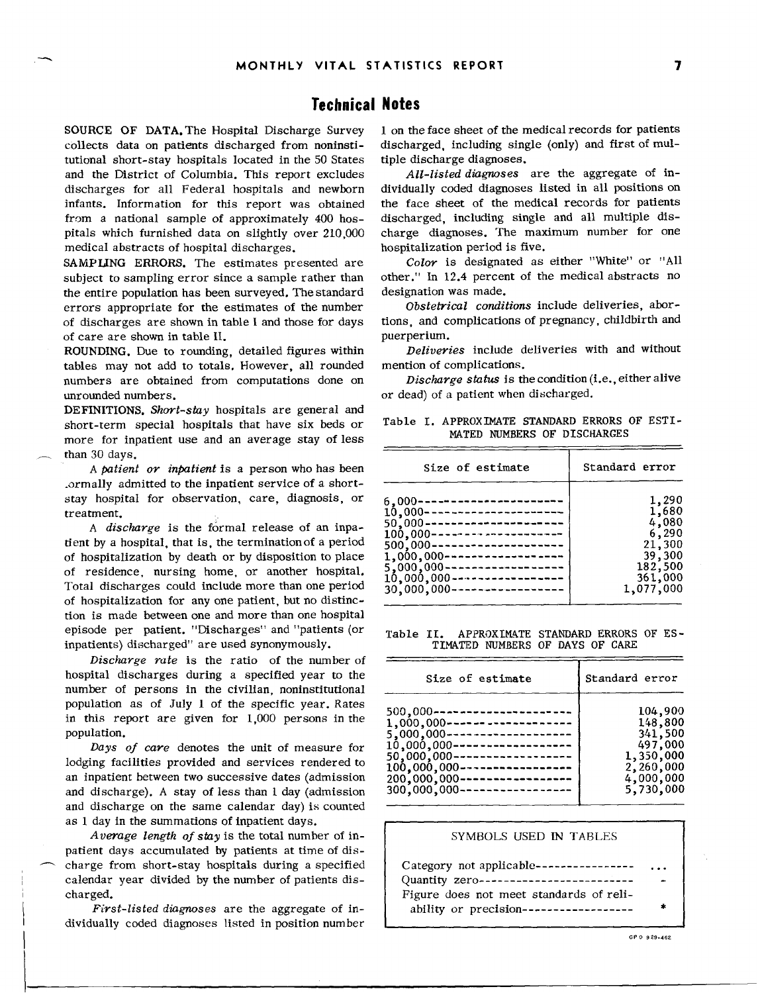## **Technical Notes**

collects data on patients discharged from noninstitutional short-stay hospitals located in the 50 States tiple discharge diagnoses. and the District of Columbia. This report excludes discharges for all Federal hospitals and newborn dividually coded diagnoses listed in all positions on infants. Information for this report was obtained the face sheet of the medical records for patients infants. Information for this report was obtained from a national sample of approximately  $400$  hospitals which furnished data on slightly over 210,000 charge diagnoses. The maximum number for one medical abstracts of hospital discharges. hospitalization period is five.

SAMPLING ERRORS. The estimates presented are subject to sampling error since a sample rather than the entire population has been surveyed. The standard designation was made.<br>errors appropriate for the estimates of the number Obstetrical conditions include deliveries, aborerrors appropriate for the estimates of the number *Obstetrical conditions* include deliveries, abor of discharges are shown in table I and those for days tions, and complications of care are shown in table II. of care are shown in table II.

ROUNDING. Due to rounding, detailed figures within tables may not add to totals. However, all rounded mention of complications. numbers are obtained from computations done on unrounded numbers.  $\qquad \qquad \text{or dead}$  of a patient when discharged.

DEFINITIONS. *Short-stay* hospitals are general and short-term special hospitals that have six beds or Table I. APPROXIMATE STANDARD ERRORS OF ESTI-<br>MATED NUMBERS OF DISCHARGES more for inpatient use and an average stay of less than 30 days.

Total 361,000 discharges could include more than one period 30,000,000 -'---------------- 1,077,000 A discharge is the formal release of an inpatient by a hospital, that is, the termination of a period of hospitalization by death or by disposition to place of residence, nursing home, or another hospital. of hospitalization for any one patient, but no distinction is made between one and more than one hospital episode per patient. "Discharges" and "patients (or Table II. APPROXIMATE STANDARD ERRORS OF ES-<br>inpatients) discharged" are used synonymously. TIMATED NUMBERS OF DAYS OF CARE inpatients) discharged" are used synonymously.

*Discharge rote* is the ratio of the number of hospital discharges during a specified year to the number of persons in the civilian, noninstitutional population as of July 1 of the specific year. Rates in this report are given for  $1,000$  persons in the nopulation.

*Days of care* denotes the unit of measure for lodging facilities provided and services rendered to an inpatient between two successive dates (admission and discharge). A stay of less than 1 day (admission and discharge on the same calendar day) is counted as 1 day in the summations of inpatient days.

*Average length of stay* is the total number of in- SYMBOLS USED IN TABLES patient days accumulated by patients at time of dis charge from short-stay hospitals during a specified calendar year divided by the number of patients discharged. The charged is the contract of the charged in  $\begin{bmatrix} F \end{bmatrix}$  Figure does not meet standards of reli-

*First-listed diagnoses* are the aggregate of individually coded diagnoses listed in position number

SOURCE OF DATA. The Hospital Discharge Survey 1 on the face sheet of the medical records for patients collects data on patients discharged from noninsti- discharged, including single (only) and first of mul-

discharged, including single and all multiple dis-

Color is designated as either "White" or "All designation was made.

Deliveries include deliveries with and without

Discharge status is the condition (i.e., either alive

| than 30 davs.<br>A patient or inpatient is a person who has been                                                                                                                                                                                                                                                                                                                                                                                                               | Size of estimate                                                                                                                                                                                                                                                                                           | Standard error                                                                          |
|--------------------------------------------------------------------------------------------------------------------------------------------------------------------------------------------------------------------------------------------------------------------------------------------------------------------------------------------------------------------------------------------------------------------------------------------------------------------------------|------------------------------------------------------------------------------------------------------------------------------------------------------------------------------------------------------------------------------------------------------------------------------------------------------------|-----------------------------------------------------------------------------------------|
| .ormally admitted to the inpatient service of a short-<br>stay hospital for observation, care, diagnosis, or<br>treatment.<br>A <i>discharge</i> is the formal release of an inpa-<br>tient by a hospital, that is, the termination of a period<br>of hospitalization by death or by disposition to place<br>of residence, nursing home, or another hospital.<br>Total discharges could include more than one period<br>of hospitalization for any one patient but no distinc- | 6.000----------------------<br>10.000---------------------<br>50.000----------------------<br>$100,000$ ---------------------<br>$500.000$ ---------------------<br>$1,000,000$ -------------------<br>$5,000,000$ --------------------<br>10.000.000------------------<br>$30,000,000$ ------------------ | 1,290<br>1,680<br>4,080<br>6,290<br>21,300<br>39,300<br>182,500<br>361,000<br>1,077,000 |
|                                                                                                                                                                                                                                                                                                                                                                                                                                                                                |                                                                                                                                                                                                                                                                                                            |                                                                                         |

| <i>Discharge rate</i> is the ratio of the number of                                                                                                                                                                                                                                                                                             |                                                                                                                                                                                                                                                                                  |                                                                                              |
|-------------------------------------------------------------------------------------------------------------------------------------------------------------------------------------------------------------------------------------------------------------------------------------------------------------------------------------------------|----------------------------------------------------------------------------------------------------------------------------------------------------------------------------------------------------------------------------------------------------------------------------------|----------------------------------------------------------------------------------------------|
| hospital discharges during a specified year to the<br>number of persons in the civilian, noninstitutional                                                                                                                                                                                                                                       | Size of estimate                                                                                                                                                                                                                                                                 | Standard error                                                                               |
| population as of July 1 of the specific year. Rates<br>in this report are given for 1,000 persons in the<br>population.<br>Days of care denotes the unit of measure for<br>lodging facilities provided and services rendered to<br>an inpatient between two successive dates (admission<br>and discharge). A stay of less than 1 day (admission | 500.000----------------------<br>1,000,000--------------------<br>5.000.000--------------------<br>$10,000,000$ -------------------<br>50,000,000-------------------<br>$100,000,000$ ------------------<br>$200,000,000$ -----------------<br>$300,000,000$ ------------------- | 104,900<br>148,800<br>341,500<br>497,000<br>1,350,000<br>2,260,000<br>4,000,000<br>5,730,000 |

| Category not applicable---------------- | $\cdots$ |
|-----------------------------------------|----------|
| Quantity zero-------------------------  | -        |
| Figure does not meet standards of reli- |          |
| ability or precision------------------  | ÷        |

GPO 929.462